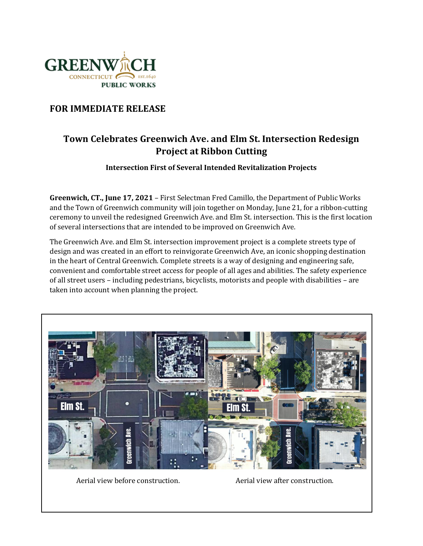

## **FOR IMMEDIATE RELEASE**

## **Town Celebrates Greenwich Ave. and Elm St. Intersection Redesign Project at Ribbon Cutting**

## **Intersection First of Several Intended Revitalization Projects**

**Greenwich, CT., June 17, 2021** – First Selectman Fred Camillo, the Department of Public Works and the Town of Greenwich community will join together on Monday, June 21, for a ribbon-cutting ceremony to unveil the redesigned Greenwich Ave. and Elm St. intersection. This is the first location of several intersections that are intended to be improved on Greenwich Ave.

The Greenwich Ave. and Elm St. intersection improvement project is a complete streets type of design and was created in an effort to reinvigorate Greenwich Ave, an iconic shopping destination in the heart of Central Greenwich. Complete streets is a way of designing and engineering safe, convenient and comfortable street access for people of all ages and abilities. The safety experience of all street users – including pedestrians, bicyclists, motorists and people with disabilities – are taken into account when planning the project.



Aerial view before construction. Aerial view after construction.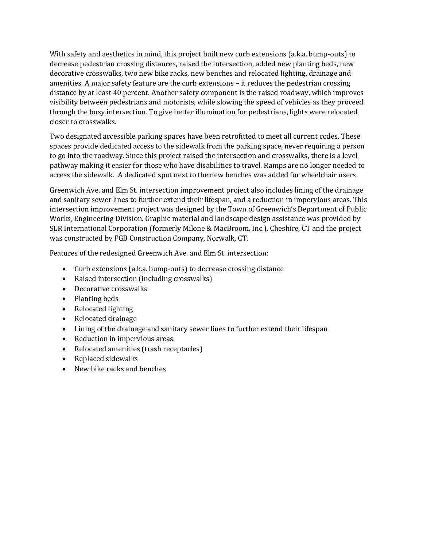With safety and aesthetics in mind, this project built new curb extensions (a.k.a. bump-outs) to decrease pedestrian crossing distances, raised the intersection, added new planting beds, new decorative crosswalks, two new bike racks, new benches and relocated lighting, drainage and amenities. A major safety feature are the curb extensions – it reduces the pedestrian crossing distance by at least 40 percent. Another safety component is the raised roadway, which improves visibility between pedestrians and motorists, while slowing the speed of vehicles as they proceed through the busy intersection. To give better illumination for pedestrians, lights were relocated closer to crosswalks.

Two designated accessible parking spaces have been retrofitted to meet all current codes. These spaces provide dedicated access to the sidewalk from the parking space, never requiring a person to go into the roadway. Since this project raised the intersection and crosswalks, there is a level pathway making it easier for those who have disabilities to travel. Ramps are no longer needed to access the sidewalk. A dedicated spot next to the new benches was added for wheelchair users.

Greenwich Ave. and Elm St. intersection improvement project also includes lining of the drainage and sanitary sewer lines to further extend their lifespan, and a reduction in impervious areas. This intersection improvement project was designed by the Town of Greenwich's Department of Public Works, Engineering Division. Graphic material and landscape design assistance was provided by SLR International Corporation (formerly Milone & MacBroom, Inc.), Cheshire, CT and the project was constructed by FGB Construction Company, Norwalk, CT.

Features of the redesigned Greenwich Ave. and Elm St. intersection:

- Curb extensions (a.k.a. bump-outs) to decrease crossing distance
- Raised intersection (including crosswalks)
- Decorative crosswalks
- Planting beds
- Relocated lighting
- Relocated drainage
- Lining of the drainage and sanitary sewer lines to further extend their lifespan
- Reduction in impervious areas.
- Relocated amenities (trash receptacles)
- Replaced sidewalks
- New bike racks and benches